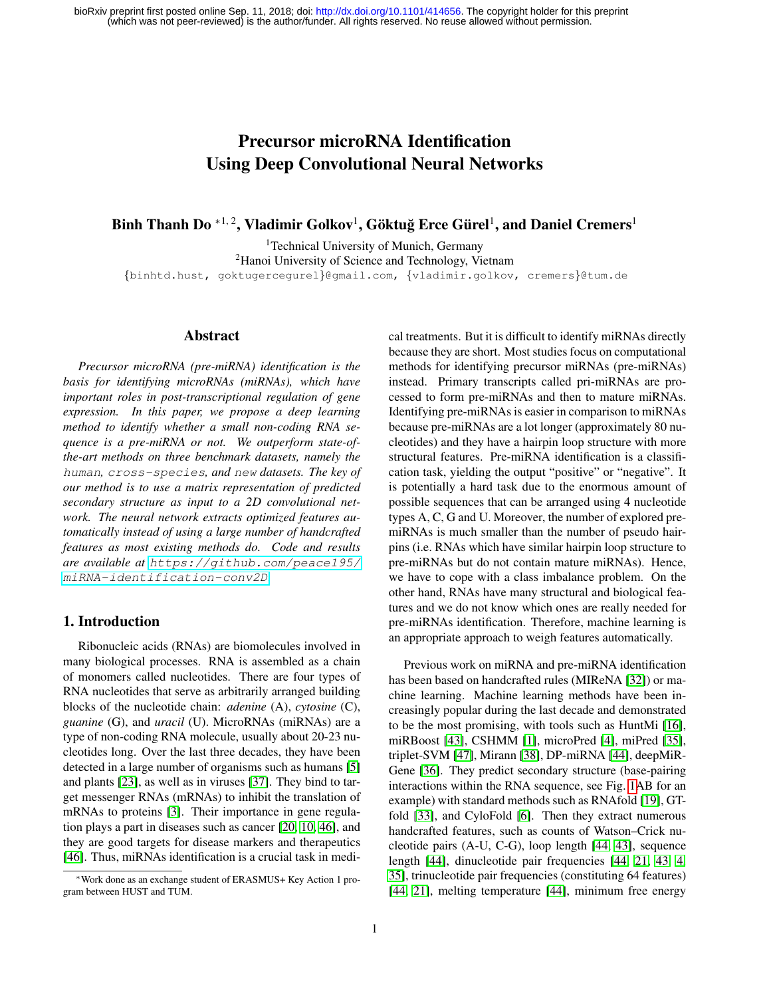# Precursor microRNA Identification Using Deep Convolutional Neural Networks

Binh Thanh Do  $^{*1, 2}$ , Vladimir Golkov<sup>1</sup>, Göktuğ Erce Gürel<sup>1</sup>, and Daniel Cremers<sup>1</sup>

<sup>1</sup>Technical University of Munich, Germany <sup>2</sup>Hanoi University of Science and Technology, Vietnam {binhtd.hust, goktugercegurel}@gmail.com, {vladimir.golkov, cremers}@tum.de

## Abstract

*Precursor microRNA (pre-miRNA) identification is the basis for identifying microRNAs (miRNAs), which have important roles in post-transcriptional regulation of gene expression. In this paper, we propose a deep learning method to identify whether a small non-coding RNA sequence is a pre-miRNA or not. We outperform state-ofthe-art methods on three benchmark datasets, namely the* human*,* cross-species*, and* new *datasets. The key of our method is to use a matrix representation of predicted secondary structure as input to a 2D convolutional network. The neural network extracts optimized features automatically instead of using a large number of handcrafted features as most existing methods do. Code and results are available at* [https://github.com/peace195/](https://github.com/peace195/miRNA-identification-conv2D) [miRNA-identification-conv2D](https://github.com/peace195/miRNA-identification-conv2D)*.*

# 1. Introduction

Ribonucleic acids (RNAs) are biomolecules involved in many biological processes. RNA is assembled as a chain of monomers called nucleotides. There are four types of RNA nucleotides that serve as arbitrarily arranged building blocks of the nucleotide chain: *adenine* (A), *cytosine* (C), *guanine* (G), and *uracil* (U). MicroRNAs (miRNAs) are a type of non-coding RNA molecule, usually about 20-23 nucleotides long. Over the last three decades, they have been detected in a large number of organisms such as humans [\[5\]](#page-7-0) and plants [\[23\]](#page-7-1), as well as in viruses [\[37\]](#page-8-0). They bind to target messenger RNAs (mRNAs) to inhibit the translation of mRNAs to proteins [\[3\]](#page-7-2). Their importance in gene regulation plays a part in diseases such as cancer [\[20,](#page-7-3) [10,](#page-7-4) [46\]](#page-8-1), and they are good targets for disease markers and therapeutics [\[46\]](#page-8-1). Thus, miRNAs identification is a crucial task in medical treatments. But it is difficult to identify miRNAs directly because they are short. Most studies focus on computational methods for identifying precursor miRNAs (pre-miRNAs) instead. Primary transcripts called pri-miRNAs are processed to form pre-miRNAs and then to mature miRNAs. Identifying pre-miRNAs is easier in comparison to miRNAs because pre-miRNAs are a lot longer (approximately 80 nucleotides) and they have a hairpin loop structure with more structural features. Pre-miRNA identification is a classification task, yielding the output "positive" or "negative". It is potentially a hard task due to the enormous amount of possible sequences that can be arranged using 4 nucleotide types A, C, G and U. Moreover, the number of explored premiRNAs is much smaller than the number of pseudo hairpins (i.e. RNAs which have similar hairpin loop structure to pre-miRNAs but do not contain mature miRNAs). Hence, we have to cope with a class imbalance problem. On the other hand, RNAs have many structural and biological features and we do not know which ones are really needed for pre-miRNAs identification. Therefore, machine learning is an appropriate approach to weigh features automatically.

Previous work on miRNA and pre-miRNA identification has been based on handcrafted rules (MIReNA [\[32\]](#page-8-2)) or machine learning. Machine learning methods have been increasingly popular during the last decade and demonstrated to be the most promising, with tools such as HuntMi [\[16\]](#page-7-5), miRBoost [\[43\]](#page-8-3), CSHMM [\[1\]](#page-7-6), microPred [\[4\]](#page-7-7), miPred [\[35\]](#page-8-4), triplet-SVM [\[47\]](#page-8-5), Mirann [\[38\]](#page-8-6), DP-miRNA [\[44\]](#page-8-7), deepMiR-Gene [\[36\]](#page-8-8). They predict secondary structure (base-pairing interactions within the RNA sequence, see Fig. [1A](#page-2-0)B for an example) with standard methods such as RNAfold [\[19\]](#page-7-8), GTfold [\[33\]](#page-8-9), and CyloFold [\[6\]](#page-7-9). Then they extract numerous handcrafted features, such as counts of Watson–Crick nucleotide pairs (A-U, C-G), loop length [\[44,](#page-8-7) [43\]](#page-8-3), sequence length [\[44\]](#page-8-7), dinucleotide pair frequencies [\[44,](#page-8-7) [21,](#page-7-10) [43,](#page-8-3) [4,](#page-7-7) [35\]](#page-8-4), trinucleotide pair frequencies (constituting 64 features) [\[44,](#page-8-7) [21\]](#page-7-10), melting temperature [\[44\]](#page-8-7), minimum free energy

<sup>∗</sup>Work done as an exchange student of ERASMUS+ Key Action 1 program between HUST and TUM.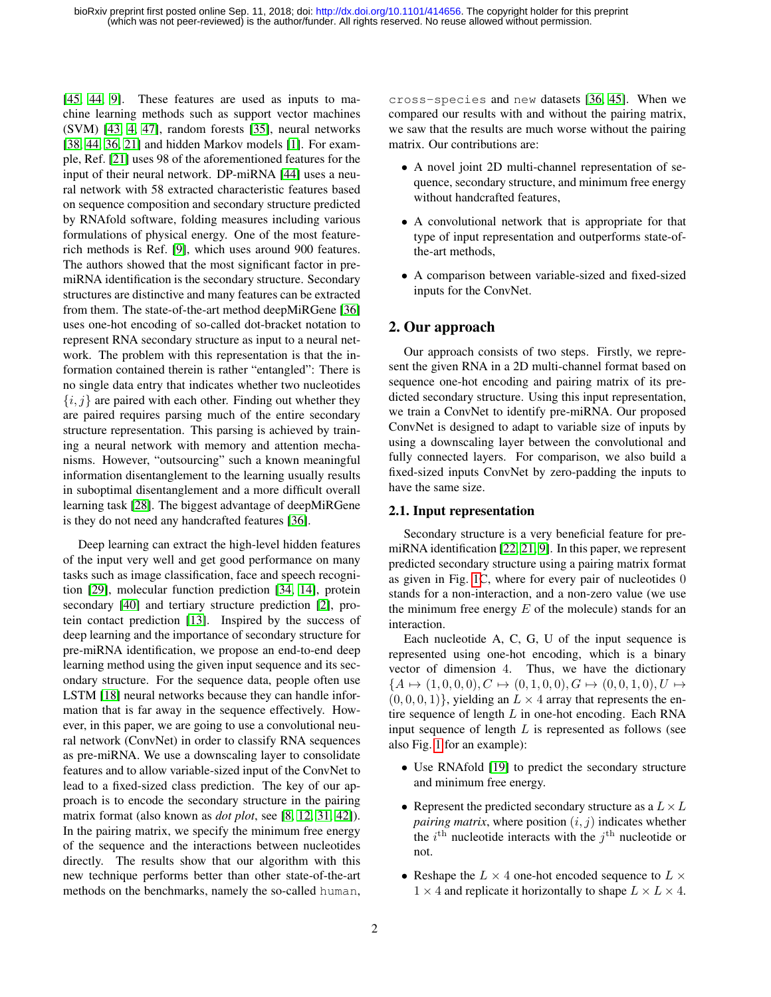[\[45,](#page-8-10) [44,](#page-8-7) [9\]](#page-7-11). These features are used as inputs to machine learning methods such as support vector machines (SVM) [\[43,](#page-8-3) [4,](#page-7-7) [47\]](#page-8-5), random forests [\[35\]](#page-8-4), neural networks [\[38,](#page-8-6) [44,](#page-8-7) [36,](#page-8-8) [21\]](#page-7-10) and hidden Markov models [\[1\]](#page-7-6). For example, Ref. [\[21\]](#page-7-10) uses 98 of the aforementioned features for the input of their neural network. DP-miRNA [\[44\]](#page-8-7) uses a neural network with 58 extracted characteristic features based on sequence composition and secondary structure predicted by RNAfold software, folding measures including various formulations of physical energy. One of the most featurerich methods is Ref. [\[9\]](#page-7-11), which uses around 900 features. The authors showed that the most significant factor in premiRNA identification is the secondary structure. Secondary structures are distinctive and many features can be extracted from them. The state-of-the-art method deepMiRGene [\[36\]](#page-8-8) uses one-hot encoding of so-called dot-bracket notation to represent RNA secondary structure as input to a neural network. The problem with this representation is that the information contained therein is rather "entangled": There is no single data entry that indicates whether two nucleotides  $\{i, j\}$  are paired with each other. Finding out whether they are paired requires parsing much of the entire secondary structure representation. This parsing is achieved by training a neural network with memory and attention mechanisms. However, "outsourcing" such a known meaningful information disentanglement to the learning usually results in suboptimal disentanglement and a more difficult overall learning task [\[28\]](#page-7-12). The biggest advantage of deepMiRGene is they do not need any handcrafted features [\[36\]](#page-8-8).

Deep learning can extract the high-level hidden features of the input very well and get good performance on many tasks such as image classification, face and speech recognition [\[29\]](#page-7-13), molecular function prediction [\[34,](#page-8-11) [14\]](#page-7-14), protein secondary [\[40\]](#page-8-12) and tertiary structure prediction [\[2\]](#page-7-15), protein contact prediction [\[13\]](#page-7-16). Inspired by the success of deep learning and the importance of secondary structure for pre-miRNA identification, we propose an end-to-end deep learning method using the given input sequence and its secondary structure. For the sequence data, people often use LSTM [\[18\]](#page-7-17) neural networks because they can handle information that is far away in the sequence effectively. However, in this paper, we are going to use a convolutional neural network (ConvNet) in order to classify RNA sequences as pre-miRNA. We use a downscaling layer to consolidate features and to allow variable-sized input of the ConvNet to lead to a fixed-sized class prediction. The key of our approach is to encode the secondary structure in the pairing matrix format (also known as *dot plot*, see [\[8,](#page-7-18) [12,](#page-7-19) [31,](#page-8-13) [42\]](#page-8-14)). In the pairing matrix, we specify the minimum free energy of the sequence and the interactions between nucleotides directly. The results show that our algorithm with this new technique performs better than other state-of-the-art methods on the benchmarks, namely the so-called human,

cross-species and new datasets [\[36,](#page-8-8) [45\]](#page-8-10). When we compared our results with and without the pairing matrix, we saw that the results are much worse without the pairing matrix. Our contributions are:

- A novel joint 2D multi-channel representation of sequence, secondary structure, and minimum free energy without handcrafted features,
- A convolutional network that is appropriate for that type of input representation and outperforms state-ofthe-art methods,
- A comparison between variable-sized and fixed-sized inputs for the ConvNet.

# 2. Our approach

Our approach consists of two steps. Firstly, we represent the given RNA in a 2D multi-channel format based on sequence one-hot encoding and pairing matrix of its predicted secondary structure. Using this input representation, we train a ConvNet to identify pre-miRNA. Our proposed ConvNet is designed to adapt to variable size of inputs by using a downscaling layer between the convolutional and fully connected layers. For comparison, we also build a fixed-sized inputs ConvNet by zero-padding the inputs to have the same size.

## <span id="page-1-0"></span>2.1. Input representation

Secondary structure is a very beneficial feature for premiRNA identification [\[22,](#page-7-20) [21,](#page-7-10) [9\]](#page-7-11). In this paper, we represent predicted secondary structure using a pairing matrix format as given in Fig. [1C](#page-2-0), where for every pair of nucleotides 0 stands for a non-interaction, and a non-zero value (we use the minimum free energy  $E$  of the molecule) stands for an interaction.

Each nucleotide A, C, G, U of the input sequence is represented using one-hot encoding, which is a binary vector of dimension 4. Thus, we have the dictionary  ${A \mapsto (1, 0, 0, 0), C \mapsto (0, 1, 0, 0), G \mapsto (0, 0, 1, 0), U \mapsto}$  $(0, 0, 0, 1)$ , yielding an  $L \times 4$  array that represents the entire sequence of length  $L$  in one-hot encoding. Each RNA input sequence of length  $L$  is represented as follows (see also Fig. [1](#page-2-0) for an example):

- Use RNAfold [\[19\]](#page-7-8) to predict the secondary structure and minimum free energy.
- Represent the predicted secondary structure as a  $L \times L$ *pairing matrix*, where position  $(i, j)$  indicates whether the  $i^{\text{th}}$  nucleotide interacts with the  $j^{\text{th}}$  nucleotide or not.
- Reshape the  $L \times 4$  one-hot encoded sequence to  $L \times$  $1 \times 4$  and replicate it horizontally to shape  $L \times L \times 4$ .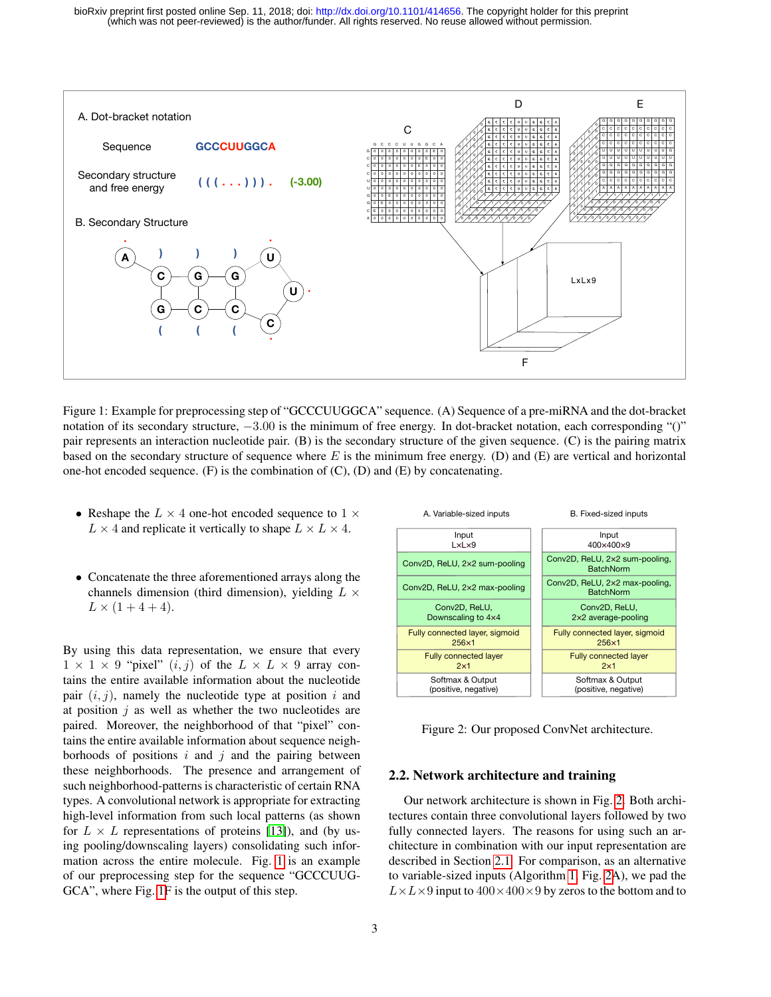<span id="page-2-0"></span>

Figure 1: Example for preprocessing step of "GCCCUUGGCA" sequence. (A) Sequence of a pre-miRNA and the dot-bracket notation of its secondary structure,  $-3.00$  is the minimum of free energy. In dot-bracket notation, each corresponding "()" pair represents an interaction nucleotide pair. (B) is the secondary structure of the given sequence. (C) is the pairing matrix based on the secondary structure of sequence where  $E$  is the minimum free energy. (D) and (E) are vertical and horizontal one-hot encoded sequence. (F) is the combination of  $(C)$ ,  $(D)$  and  $(E)$  by concatenating.

- Reshape the  $L \times 4$  one-hot encoded sequence to  $1 \times$  $L \times 4$  and replicate it vertically to shape  $L \times L \times 4$ .
- Concatenate the three aforementioned arrays along the channels dimension (third dimension), yielding  $L \times$  $L \times (1 + 4 + 4)$ .

By using this data representation, we ensure that every  $1 \times 1 \times 9$  "pixel"  $(i, j)$  of the  $L \times L \times 9$  array contains the entire available information about the nucleotide pair  $(i, j)$ , namely the nucleotide type at position i and at position  $j$  as well as whether the two nucleotides are paired. Moreover, the neighborhood of that "pixel" contains the entire available information about sequence neighborhoods of positions  $i$  and  $j$  and the pairing between these neighborhoods. The presence and arrangement of such neighborhood-patterns is characteristic of certain RNA types. A convolutional network is appropriate for extracting high-level information from such local patterns (as shown for  $L \times L$  representations of proteins [\[13\]](#page-7-16)), and (by using pooling/downscaling layers) consolidating such information across the entire molecule. Fig. [1](#page-2-0) is an example of our preprocessing step for the sequence "GCCCUUG-GCA", where Fig. [1F](#page-2-0) is the output of this step.

<span id="page-2-1"></span>

Figure 2: Our proposed ConvNet architecture.

## 2.2. Network architecture and training

Our network architecture is shown in Fig. [2.](#page-2-1) Both architectures contain three convolutional layers followed by two fully connected layers. The reasons for using such an architecture in combination with our input representation are described in Section [2.1.](#page-1-0) For comparison, as an alternative to variable-sized inputs (Algorithm [1,](#page-3-0) Fig. [2A](#page-2-1)), we pad the  $L \times L \times 9$  input to  $400 \times 400 \times 9$  by zeros to the bottom and to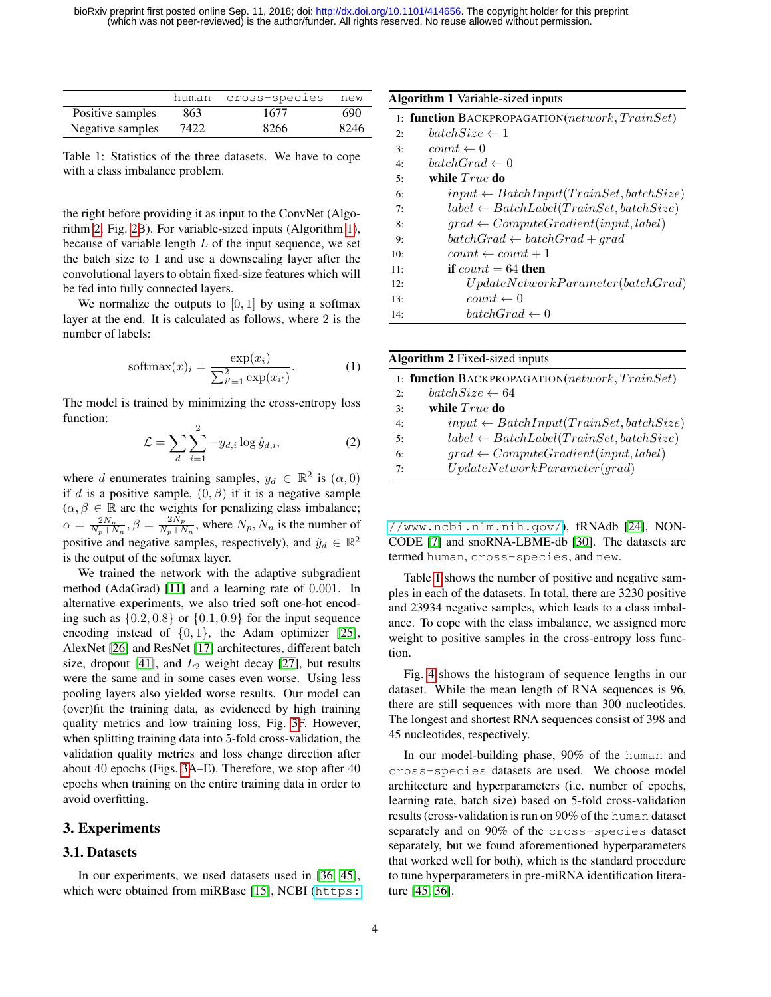<span id="page-3-2"></span>

|                  | human | cross-species | new  |
|------------------|-------|---------------|------|
| Positive samples | 863   | 1677          | 690  |
| Negative samples | 7422  | 8266          | 8246 |

Table 1: Statistics of the three datasets. We have to cope with a class imbalance problem.

the right before providing it as input to the ConvNet (Algorithm [2,](#page-3-1) Fig. [2B](#page-2-1)). For variable-sized inputs (Algorithm [1\)](#page-3-0), because of variable length  $L$  of the input sequence, we set the batch size to 1 and use a downscaling layer after the convolutional layers to obtain fixed-size features which will be fed into fully connected layers.

We normalize the outputs to  $[0, 1]$  by using a softmax layer at the end. It is calculated as follows, where 2 is the number of labels:

$$
softmax(x)_i = \frac{\exp(x_i)}{\sum_{i'=1}^{2} \exp(x_{i'})}.
$$
 (1)

The model is trained by minimizing the cross-entropy loss function:

$$
\mathcal{L} = \sum_{d} \sum_{i=1}^{2} -y_{d,i} \log \hat{y}_{d,i},\tag{2}
$$

where d enumerates training samples,  $y_d \in \mathbb{R}^2$  is  $(\alpha, 0)$ if d is a positive sample,  $(0, \beta)$  if it is a negative sample  $(\alpha, \beta \in \mathbb{R}$  are the weights for penalizing class imbalance;  $\alpha = \frac{2N_n}{N_p+N_n}, \beta = \frac{2N_p}{N_p+N_n}$  $\frac{2N_p}{N_p+N_n}$ , where  $N_p, N_n$  is the number of positive and negative samples, respectively), and  $\hat{y}_d \in \mathbb{R}^2$ is the output of the softmax layer.

We trained the network with the adaptive subgradient method (AdaGrad) [\[11\]](#page-7-21) and a learning rate of 0.001. In alternative experiments, we also tried soft one-hot encoding such as  $\{0.2, 0.8\}$  or  $\{0.1, 0.9\}$  for the input sequence encoding instead of  $\{0, 1\}$ , the Adam optimizer [\[25\]](#page-7-22), AlexNet [\[26\]](#page-7-23) and ResNet [\[17\]](#page-7-24) architectures, different batch size, dropout [\[41\]](#page-8-15), and  $L_2$  weight decay [\[27\]](#page-7-25), but results were the same and in some cases even worse. Using less pooling layers also yielded worse results. Our model can (over)fit the training data, as evidenced by high training quality metrics and low training loss, Fig. [3F](#page-4-0). However, when splitting training data into 5-fold cross-validation, the validation quality metrics and loss change direction after about 40 epochs (Figs. [3A](#page-4-0)–E). Therefore, we stop after 40 epochs when training on the entire training data in order to avoid overfitting.

## 3. Experiments

#### 3.1. Datasets

In our experiments, we used datasets used in [\[36,](#page-8-8) [45\]](#page-8-10), which were obtained from miRBase [\[15\]](#page-7-26), NCBI ([https:](https://www.ncbi.nlm.nih.gov/)

<span id="page-3-0"></span>

|     | <b>Algorithm 1</b> Variable-sized inputs           |
|-----|----------------------------------------------------|
|     | 1: function BACKPROPAGATION(network, TrainSet)     |
| 2:  | $batchSize \leftarrow 1$                           |
| 3:  | $count \leftarrow 0$                               |
| 4:  | $batchGrad \leftarrow 0$                           |
| 5:  | while $True$ do                                    |
| 6:  | $input \leftarrow BatchInput(TrainSet, batchSize)$ |
| 7:  | $label \leftarrow BatchLabel(TrainSet, batchSize)$ |
| 8:  | $grad \leftarrow ComputeGradient(input, label)$    |
| 9:  | $batchGrad \leftarrow batchGrad + grad$            |
| 10: | $count \leftarrow count + 1$                       |
| 11: | if $count = 64$ then                               |
| 12: | UpdateNetworkParameter (batchGrad)                 |
| 13: | $count \leftarrow 0$                               |
| 14: | $batchGrad \leftarrow 0$                           |

<span id="page-3-1"></span>

|    | <b>Algorithm 2</b> Fixed-sized inputs              |
|----|----------------------------------------------------|
|    | 1: function BACKPROPAGATION(network, TrainSet)     |
| 2: | $batchSize \leftarrow 64$                          |
| 3: | while $True$ do                                    |
| 4: | $input \leftarrow BatchInput(TrainSet, batchSize)$ |
| 5: | $label \leftarrow BatchLabel(TrainSet, batchSize)$ |
| 6: | $grad \leftarrow ComputeGradient(input, label)$    |
| 7: | UpdateNetworkParameter(grad)                       |

[//www.ncbi.nlm.nih.gov/](https://www.ncbi.nlm.nih.gov/)), fRNAdb [\[24\]](#page-7-27), NON-CODE [\[7\]](#page-7-28) and snoRNA-LBME-db [\[30\]](#page-7-29). The datasets are termed human, cross-species, and new.

Table [1](#page-3-2) shows the number of positive and negative samples in each of the datasets. In total, there are 3230 positive and 23934 negative samples, which leads to a class imbalance. To cope with the class imbalance, we assigned more weight to positive samples in the cross-entropy loss function.

Fig. [4](#page-4-1) shows the histogram of sequence lengths in our dataset. While the mean length of RNA sequences is 96, there are still sequences with more than 300 nucleotides. The longest and shortest RNA sequences consist of 398 and 45 nucleotides, respectively.

In our model-building phase, 90% of the human and cross-species datasets are used. We choose model architecture and hyperparameters (i.e. number of epochs, learning rate, batch size) based on 5-fold cross-validation results (cross-validation is run on 90% of the human dataset separately and on 90% of the cross-species dataset separately, but we found aforementioned hyperparameters that worked well for both), which is the standard procedure to tune hyperparameters in pre-miRNA identification literature [\[45,](#page-8-10) [36\]](#page-8-8).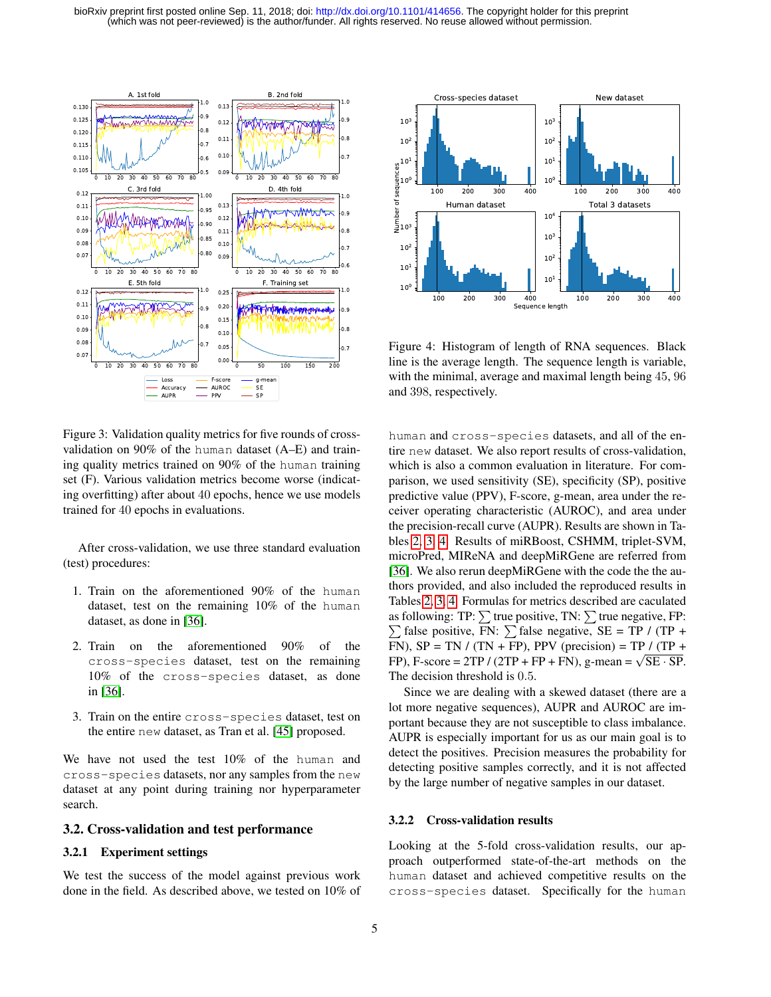<span id="page-4-0"></span>

<span id="page-4-1"></span>

Figure 4: Histogram of length of RNA sequences. Black line is the average length. The sequence length is variable, with the minimal, average and maximal length being 45, 96 and 398, respectively.

Figure 3: Validation quality metrics for five rounds of crossvalidation on 90% of the human dataset (A–E) and training quality metrics trained on 90% of the human training set (F). Various validation metrics become worse (indicating overfitting) after about 40 epochs, hence we use models trained for 40 epochs in evaluations.

After cross-validation, we use three standard evaluation (test) procedures:

- 1. Train on the aforementioned 90% of the human dataset, test on the remaining 10% of the human dataset, as done in [\[36\]](#page-8-8).
- 2. Train on the aforementioned 90% of the cross-species dataset, test on the remaining 10% of the cross-species dataset, as done in [\[36\]](#page-8-8).
- 3. Train on the entire cross-species dataset, test on the entire new dataset, as Tran et al. [\[45\]](#page-8-10) proposed.

We have not used the test 10% of the human and cross-species datasets, nor any samples from the new dataset at any point during training nor hyperparameter search.

#### 3.2. Cross-validation and test performance

## 3.2.1 Experiment settings

We test the success of the model against previous work done in the field. As described above, we tested on 10% of human and cross-species datasets, and all of the entire new dataset. We also report results of cross-validation, which is also a common evaluation in literature. For comparison, we used sensitivity (SE), specificity (SP), positive predictive value (PPV), F-score, g-mean, area under the receiver operating characteristic (AUROC), and area under the precision-recall curve (AUPR). Results are shown in Tables [2,](#page-5-0) [3,](#page-5-1) [4.](#page-6-0) Results of miRBoost, CSHMM, triplet-SVM, microPred, MIReNA and deepMiRGene are referred from [\[36\]](#page-8-8). We also rerun deepMiRGene with the code the the authors provided, and also included the reproduced results in Tables [2,](#page-5-0) [3,](#page-5-1) [4.](#page-6-0) Formulas for metrics described are caculated as following: TP:  $\sum$  true positive, TN:  $\sum$  true negative, FP:  $\sum$  false positive, FN:  $\sum$  false negative, SE = TP / (TP + FN),  $SP = TN / (TN + FP)$ , PPV (precision) = TP / (TP + FN), SP = 1N / (1N + FP), PPV (precision) = 1P / (1P + FP), F-score = 2TP / (2TP + FP + FN), g-mean =  $\sqrt{SE \cdot SP}$ . The decision threshold is 0.5.

Since we are dealing with a skewed dataset (there are a lot more negative sequences), AUPR and AUROC are important because they are not susceptible to class imbalance. AUPR is especially important for us as our main goal is to detect the positives. Precision measures the probability for detecting positive samples correctly, and it is not affected by the large number of negative samples in our dataset.

#### 3.2.2 Cross-validation results

Looking at the 5-fold cross-validation results, our approach outperformed state-of-the-art methods on the human dataset and achieved competitive results on the cross-species dataset. Specifically for the human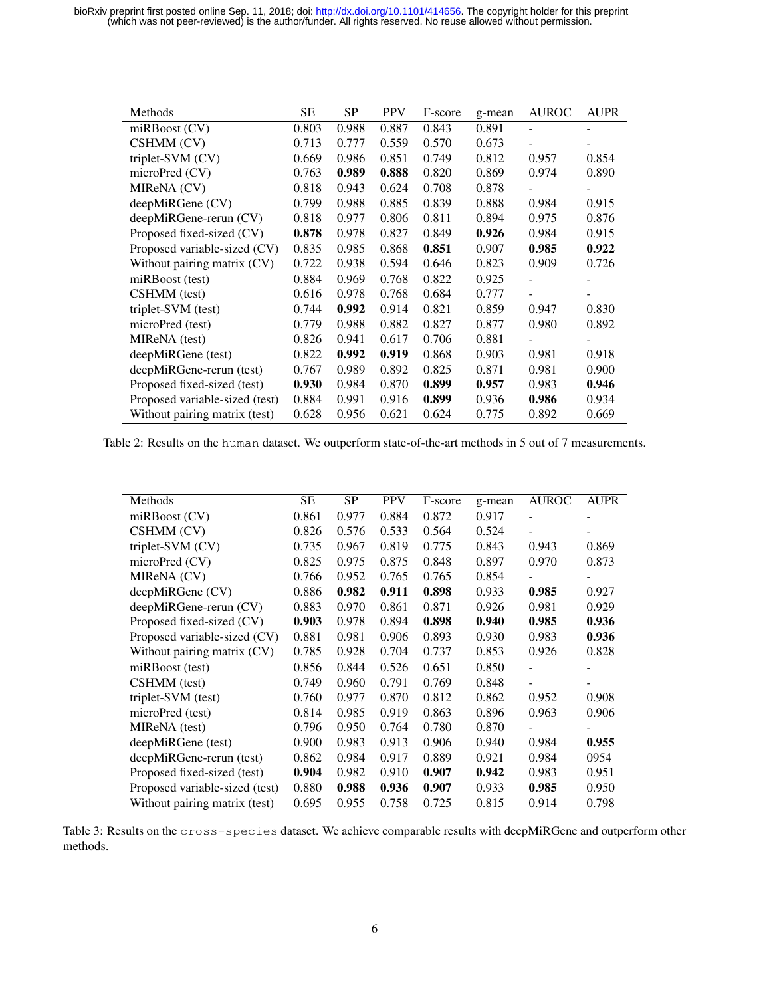(which was not peer-reviewed) is the author/funder. All rights reserved. No reuse allowed without permission. bioRxiv preprint first posted online Sep. 11, 2018; doi: [http://dx.doi.org/10.1101/414656.](http://dx.doi.org/10.1101/414656) The copyright holder for this preprint

<span id="page-5-0"></span>

| Methods                        | <b>SE</b> | <b>SP</b> | <b>PPV</b> | F-score | g-mean | <b>AUROC</b> | <b>AUPR</b> |
|--------------------------------|-----------|-----------|------------|---------|--------|--------------|-------------|
| $m$ RBoost $(CV)$              | 0.803     | 0.988     | 0.887      | 0.843   | 0.891  | ۰            | ۰           |
| CSHMM (CV)                     | 0.713     | 0.777     | 0.559      | 0.570   | 0.673  |              |             |
| triplet-SVM (CV)               | 0.669     | 0.986     | 0.851      | 0.749   | 0.812  | 0.957        | 0.854       |
| microPred (CV)                 | 0.763     | 0.989     | 0.888      | 0.820   | 0.869  | 0.974        | 0.890       |
| MIReNA (CV)                    | 0.818     | 0.943     | 0.624      | 0.708   | 0.878  |              |             |
| deepMiRGene (CV)               | 0.799     | 0.988     | 0.885      | 0.839   | 0.888  | 0.984        | 0.915       |
| deepMiRGene-rerun (CV)         | 0.818     | 0.977     | 0.806      | 0.811   | 0.894  | 0.975        | 0.876       |
| Proposed fixed-sized (CV)      | 0.878     | 0.978     | 0.827      | 0.849   | 0.926  | 0.984        | 0.915       |
| Proposed variable-sized (CV)   | 0.835     | 0.985     | 0.868      | 0.851   | 0.907  | 0.985        | 0.922       |
| Without pairing matrix (CV)    | 0.722     | 0.938     | 0.594      | 0.646   | 0.823  | 0.909        | 0.726       |
| miRBoost (test)                | 0.884     | 0.969     | 0.768      | 0.822   | 0.925  |              |             |
| CSHMM (test)                   | 0.616     | 0.978     | 0.768      | 0.684   | 0.777  |              |             |
| triplet-SVM (test)             | 0.744     | 0.992     | 0.914      | 0.821   | 0.859  | 0.947        | 0.830       |
| microPred (test)               | 0.779     | 0.988     | 0.882      | 0.827   | 0.877  | 0.980        | 0.892       |
| MIReNA (test)                  | 0.826     | 0.941     | 0.617      | 0.706   | 0.881  |              |             |
| deepMiRGene (test)             | 0.822     | 0.992     | 0.919      | 0.868   | 0.903  | 0.981        | 0.918       |
| deepMiRGene-rerun (test)       | 0.767     | 0.989     | 0.892      | 0.825   | 0.871  | 0.981        | 0.900       |
| Proposed fixed-sized (test)    | 0.930     | 0.984     | 0.870      | 0.899   | 0.957  | 0.983        | 0.946       |
| Proposed variable-sized (test) | 0.884     | 0.991     | 0.916      | 0.899   | 0.936  | 0.986        | 0.934       |
| Without pairing matrix (test)  | 0.628     | 0.956     | 0.621      | 0.624   | 0.775  | 0.892        | 0.669       |

<span id="page-5-1"></span>Table 2: Results on the human dataset. We outperform state-of-the-art methods in 5 out of 7 measurements.

| Methods                        | SE    | <b>SP</b> | <b>PPV</b> | F-score | g-mean | <b>AUROC</b> | <b>AUPR</b> |
|--------------------------------|-------|-----------|------------|---------|--------|--------------|-------------|
| miRBoost (CV)                  | 0.861 | 0.977     | 0.884      | 0.872   | 0.917  |              |             |
| CSHMM (CV)                     | 0.826 | 0.576     | 0.533      | 0.564   | 0.524  |              |             |
| triplet-SVM (CV)               | 0.735 | 0.967     | 0.819      | 0.775   | 0.843  | 0.943        | 0.869       |
| microPred (CV)                 | 0.825 | 0.975     | 0.875      | 0.848   | 0.897  | 0.970        | 0.873       |
| MIReNA (CV)                    | 0.766 | 0.952     | 0.765      | 0.765   | 0.854  |              |             |
| deepMiRGene (CV)               | 0.886 | 0.982     | 0.911      | 0.898   | 0.933  | 0.985        | 0.927       |
| deepMiRGene-rerun (CV)         | 0.883 | 0.970     | 0.861      | 0.871   | 0.926  | 0.981        | 0.929       |
| Proposed fixed-sized (CV)      | 0.903 | 0.978     | 0.894      | 0.898   | 0.940  | 0.985        | 0.936       |
| Proposed variable-sized (CV)   | 0.881 | 0.981     | 0.906      | 0.893   | 0.930  | 0.983        | 0.936       |
| Without pairing matrix (CV)    | 0.785 | 0.928     | 0.704      | 0.737   | 0.853  | 0.926        | 0.828       |
| miRBoost (test)                | 0.856 | 0.844     | 0.526      | 0.651   | 0.850  |              |             |
| CSHMM (test)                   | 0.749 | 0.960     | 0.791      | 0.769   | 0.848  | ۰            |             |
| triplet-SVM (test)             | 0.760 | 0.977     | 0.870      | 0.812   | 0.862  | 0.952        | 0.908       |
| microPred (test)               | 0.814 | 0.985     | 0.919      | 0.863   | 0.896  | 0.963        | 0.906       |
| MIReNA (test)                  | 0.796 | 0.950     | 0.764      | 0.780   | 0.870  |              |             |
| deepMiRGene (test)             | 0.900 | 0.983     | 0.913      | 0.906   | 0.940  | 0.984        | 0.955       |
| deepMiRGene-rerun (test)       | 0.862 | 0.984     | 0.917      | 0.889   | 0.921  | 0.984        | 0954        |
| Proposed fixed-sized (test)    | 0.904 | 0.982     | 0.910      | 0.907   | 0.942  | 0.983        | 0.951       |
| Proposed variable-sized (test) | 0.880 | 0.988     | 0.936      | 0.907   | 0.933  | 0.985        | 0.950       |
| Without pairing matrix (test)  | 0.695 | 0.955     | 0.758      | 0.725   | 0.815  | 0.914        | 0.798       |

Table 3: Results on the cross-species dataset. We achieve comparable results with deepMiRGene and outperform other methods.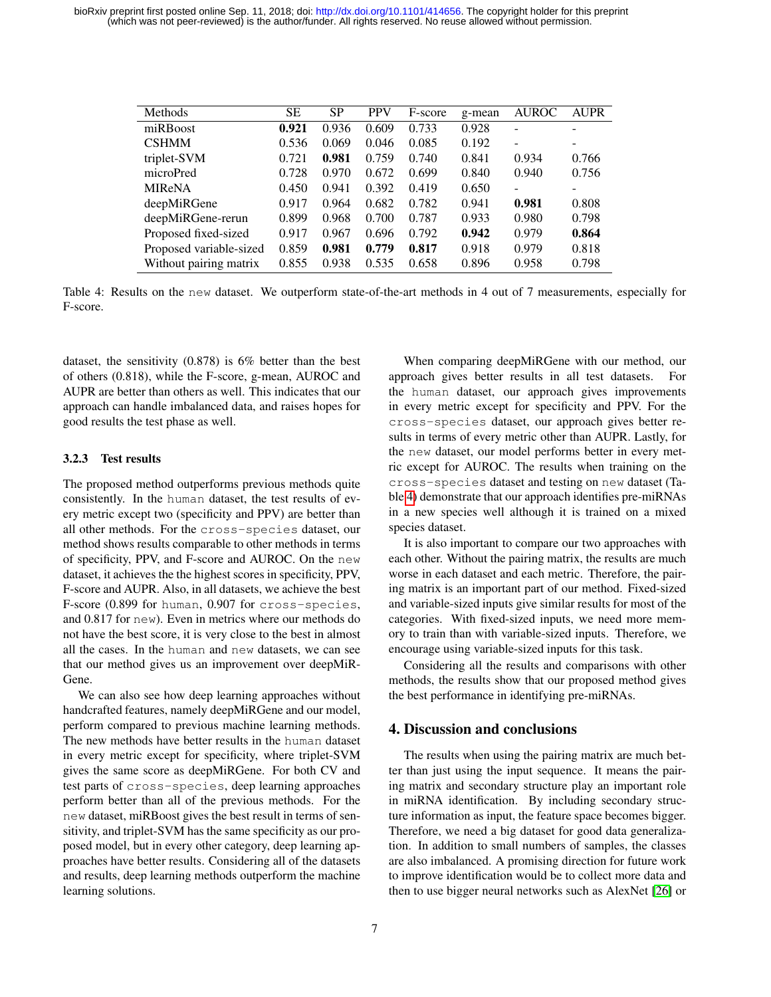<span id="page-6-0"></span>

| Methods                 | <b>SE</b> | <b>SP</b> | <b>PPV</b> | F-score | g-mean | <b>AUROC</b>             | <b>AUPR</b> |
|-------------------------|-----------|-----------|------------|---------|--------|--------------------------|-------------|
| miRBoost                | 0.921     | 0.936     | 0.609      | 0.733   | 0.928  | ۰                        |             |
| <b>CSHMM</b>            | 0.536     | 0.069     | 0.046      | 0.085   | 0.192  | $\overline{\phantom{a}}$ | -           |
| triplet-SVM             | 0.721     | 0.981     | 0.759      | 0.740   | 0.841  | 0.934                    | 0.766       |
| microPred               | 0.728     | 0.970     | 0.672      | 0.699   | 0.840  | 0.940                    | 0.756       |
| <b>MIReNA</b>           | 0.450     | 0.941     | 0.392      | 0.419   | 0.650  | $\overline{\phantom{a}}$ | -           |
| deepMiRGene             | 0.917     | 0.964     | 0.682      | 0.782   | 0.941  | 0.981                    | 0.808       |
| deepMiRGene-rerun       | 0.899     | 0.968     | 0.700      | 0.787   | 0.933  | 0.980                    | 0.798       |
| Proposed fixed-sized    | 0.917     | 0.967     | 0.696      | 0.792   | 0.942  | 0.979                    | 0.864       |
| Proposed variable-sized | 0.859     | 0.981     | 0.779      | 0.817   | 0.918  | 0.979                    | 0.818       |
| Without pairing matrix  | 0.855     | 0.938     | 0.535      | 0.658   | 0.896  | 0.958                    | 0.798       |

Table 4: Results on the new dataset. We outperform state-of-the-art methods in 4 out of 7 measurements, especially for F-score.

dataset, the sensitivity (0.878) is 6% better than the best of others (0.818), while the F-score, g-mean, AUROC and AUPR are better than others as well. This indicates that our approach can handle imbalanced data, and raises hopes for good results the test phase as well.

#### 3.2.3 Test results

The proposed method outperforms previous methods quite consistently. In the human dataset, the test results of every metric except two (specificity and PPV) are better than all other methods. For the cross-species dataset, our method shows results comparable to other methods in terms of specificity, PPV, and F-score and AUROC. On the new dataset, it achieves the the highest scores in specificity, PPV, F-score and AUPR. Also, in all datasets, we achieve the best F-score (0.899 for human, 0.907 for cross-species, and 0.817 for new). Even in metrics where our methods do not have the best score, it is very close to the best in almost all the cases. In the human and new datasets, we can see that our method gives us an improvement over deepMiR-Gene.

We can also see how deep learning approaches without handcrafted features, namely deepMiRGene and our model, perform compared to previous machine learning methods. The new methods have better results in the human dataset in every metric except for specificity, where triplet-SVM gives the same score as deepMiRGene. For both CV and test parts of cross-species, deep learning approaches perform better than all of the previous methods. For the new dataset, miRBoost gives the best result in terms of sensitivity, and triplet-SVM has the same specificity as our proposed model, but in every other category, deep learning approaches have better results. Considering all of the datasets and results, deep learning methods outperform the machine learning solutions.

When comparing deepMiRGene with our method, our approach gives better results in all test datasets. For the human dataset, our approach gives improvements in every metric except for specificity and PPV. For the cross-species dataset, our approach gives better results in terms of every metric other than AUPR. Lastly, for the new dataset, our model performs better in every metric except for AUROC. The results when training on the cross-species dataset and testing on new dataset (Table [4\)](#page-6-0) demonstrate that our approach identifies pre-miRNAs in a new species well although it is trained on a mixed species dataset.

It is also important to compare our two approaches with each other. Without the pairing matrix, the results are much worse in each dataset and each metric. Therefore, the pairing matrix is an important part of our method. Fixed-sized and variable-sized inputs give similar results for most of the categories. With fixed-sized inputs, we need more memory to train than with variable-sized inputs. Therefore, we encourage using variable-sized inputs for this task.

Considering all the results and comparisons with other methods, the results show that our proposed method gives the best performance in identifying pre-miRNAs.

# 4. Discussion and conclusions

The results when using the pairing matrix are much better than just using the input sequence. It means the pairing matrix and secondary structure play an important role in miRNA identification. By including secondary structure information as input, the feature space becomes bigger. Therefore, we need a big dataset for good data generalization. In addition to small numbers of samples, the classes are also imbalanced. A promising direction for future work to improve identification would be to collect more data and then to use bigger neural networks such as AlexNet [\[26\]](#page-7-23) or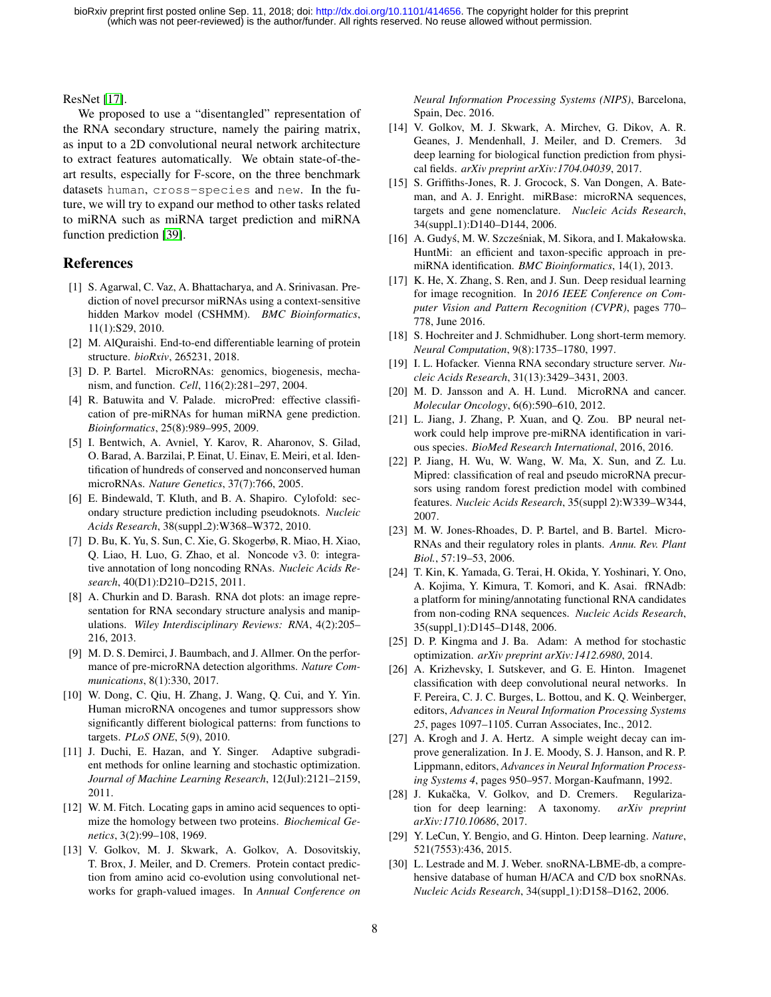ResNet [\[17\]](#page-7-24).

We proposed to use a "disentangled" representation of the RNA secondary structure, namely the pairing matrix, as input to a 2D convolutional neural network architecture to extract features automatically. We obtain state-of-theart results, especially for F-score, on the three benchmark datasets human, cross-species and new. In the future, we will try to expand our method to other tasks related to miRNA such as miRNA target prediction and miRNA function prediction [\[39\]](#page-8-16).

# References

- <span id="page-7-6"></span>[1] S. Agarwal, C. Vaz, A. Bhattacharya, and A. Srinivasan. Prediction of novel precursor miRNAs using a context-sensitive hidden Markov model (CSHMM). *BMC Bioinformatics*, 11(1):S29, 2010.
- <span id="page-7-15"></span>[2] M. AlQuraishi. End-to-end differentiable learning of protein structure. *bioRxiv*, 265231, 2018.
- <span id="page-7-2"></span>[3] D. P. Bartel. MicroRNAs: genomics, biogenesis, mechanism, and function. *Cell*, 116(2):281–297, 2004.
- <span id="page-7-7"></span>[4] R. Batuwita and V. Palade. microPred: effective classification of pre-miRNAs for human miRNA gene prediction. *Bioinformatics*, 25(8):989–995, 2009.
- <span id="page-7-0"></span>[5] I. Bentwich, A. Avniel, Y. Karov, R. Aharonov, S. Gilad, O. Barad, A. Barzilai, P. Einat, U. Einav, E. Meiri, et al. Identification of hundreds of conserved and nonconserved human microRNAs. *Nature Genetics*, 37(7):766, 2005.
- <span id="page-7-9"></span>[6] E. Bindewald, T. Kluth, and B. A. Shapiro. Cylofold: secondary structure prediction including pseudoknots. *Nucleic Acids Research*, 38(suppl 2):W368–W372, 2010.
- <span id="page-7-28"></span>[7] D. Bu, K. Yu, S. Sun, C. Xie, G. Skogerbø, R. Miao, H. Xiao, Q. Liao, H. Luo, G. Zhao, et al. Noncode v3. 0: integrative annotation of long noncoding RNAs. *Nucleic Acids Research*, 40(D1):D210–D215, 2011.
- <span id="page-7-18"></span>[8] A. Churkin and D. Barash. RNA dot plots: an image representation for RNA secondary structure analysis and manipulations. *Wiley Interdisciplinary Reviews: RNA*, 4(2):205– 216, 2013.
- <span id="page-7-11"></span>[9] M. D. S. Demirci, J. Baumbach, and J. Allmer. On the performance of pre-microRNA detection algorithms. *Nature Communications*, 8(1):330, 2017.
- <span id="page-7-4"></span>[10] W. Dong, C. Qiu, H. Zhang, J. Wang, O. Cui, and Y. Yin. Human microRNA oncogenes and tumor suppressors show significantly different biological patterns: from functions to targets. *PLoS ONE*, 5(9), 2010.
- <span id="page-7-21"></span>[11] J. Duchi, E. Hazan, and Y. Singer. Adaptive subgradient methods for online learning and stochastic optimization. *Journal of Machine Learning Research*, 12(Jul):2121–2159, 2011.
- <span id="page-7-19"></span>[12] W. M. Fitch. Locating gaps in amino acid sequences to optimize the homology between two proteins. *Biochemical Genetics*, 3(2):99–108, 1969.
- <span id="page-7-16"></span>[13] V. Golkov, M. J. Skwark, A. Golkov, A. Dosovitskiy, T. Brox, J. Meiler, and D. Cremers. Protein contact prediction from amino acid co-evolution using convolutional networks for graph-valued images. In *Annual Conference on*

*Neural Information Processing Systems (NIPS)*, Barcelona, Spain, Dec. 2016.

- <span id="page-7-14"></span>[14] V. Golkov, M. J. Skwark, A. Mirchev, G. Dikov, A. R. Geanes, J. Mendenhall, J. Meiler, and D. Cremers. 3d deep learning for biological function prediction from physical fields. *arXiv preprint arXiv:1704.04039*, 2017.
- <span id="page-7-26"></span>[15] S. Griffiths-Jones, R. J. Grocock, S. Van Dongen, A. Bateman, and A. J. Enright. miRBase: microRNA sequences, targets and gene nomenclature. *Nucleic Acids Research*, 34(suppl\_1):D140–D144, 2006.
- <span id="page-7-5"></span>[16] A. Gudyś, M. W. Szcześniak, M. Sikora, and I. Makałowska. HuntMi: an efficient and taxon-specific approach in premiRNA identification. *BMC Bioinformatics*, 14(1), 2013.
- <span id="page-7-24"></span>[17] K. He, X. Zhang, S. Ren, and J. Sun. Deep residual learning for image recognition. In *2016 IEEE Conference on Computer Vision and Pattern Recognition (CVPR)*, pages 770– 778, June 2016.
- <span id="page-7-17"></span>[18] S. Hochreiter and J. Schmidhuber. Long short-term memory. *Neural Computation*, 9(8):1735–1780, 1997.
- <span id="page-7-8"></span>[19] I. L. Hofacker. Vienna RNA secondary structure server. *Nucleic Acids Research*, 31(13):3429–3431, 2003.
- <span id="page-7-3"></span>[20] M. D. Jansson and A. H. Lund. MicroRNA and cancer. *Molecular Oncology*, 6(6):590–610, 2012.
- <span id="page-7-10"></span>[21] L. Jiang, J. Zhang, P. Xuan, and Q. Zou. BP neural network could help improve pre-miRNA identification in various species. *BioMed Research International*, 2016, 2016.
- <span id="page-7-20"></span>[22] P. Jiang, H. Wu, W. Wang, W. Ma, X. Sun, and Z. Lu. Mipred: classification of real and pseudo microRNA precursors using random forest prediction model with combined features. *Nucleic Acids Research*, 35(suppl 2):W339–W344, 2007.
- <span id="page-7-1"></span>[23] M. W. Jones-Rhoades, D. P. Bartel, and B. Bartel. Micro-RNAs and their regulatory roles in plants. *Annu. Rev. Plant Biol.*, 57:19–53, 2006.
- <span id="page-7-27"></span>[24] T. Kin, K. Yamada, G. Terai, H. Okida, Y. Yoshinari, Y. Ono, A. Kojima, Y. Kimura, T. Komori, and K. Asai. fRNAdb: a platform for mining/annotating functional RNA candidates from non-coding RNA sequences. *Nucleic Acids Research*, 35(suppl\_1):D145–D148, 2006.
- <span id="page-7-22"></span>[25] D. P. Kingma and J. Ba. Adam: A method for stochastic optimization. *arXiv preprint arXiv:1412.6980*, 2014.
- <span id="page-7-23"></span>[26] A. Krizhevsky, I. Sutskever, and G. E. Hinton. Imagenet classification with deep convolutional neural networks. In F. Pereira, C. J. C. Burges, L. Bottou, and K. Q. Weinberger, editors, *Advances in Neural Information Processing Systems 25*, pages 1097–1105. Curran Associates, Inc., 2012.
- <span id="page-7-25"></span>[27] A. Krogh and J. A. Hertz. A simple weight decay can improve generalization. In J. E. Moody, S. J. Hanson, and R. P. Lippmann, editors, *Advances in Neural Information Processing Systems 4*, pages 950–957. Morgan-Kaufmann, 1992.
- <span id="page-7-12"></span>[28] J. Kukačka, V. Golkov, and D. Cremers. Regularization for deep learning: A taxonomy. *arXiv preprint arXiv:1710.10686*, 2017.
- <span id="page-7-13"></span>[29] Y. LeCun, Y. Bengio, and G. Hinton. Deep learning. *Nature*, 521(7553):436, 2015.
- <span id="page-7-29"></span>[30] L. Lestrade and M. J. Weber. snoRNA-LBME-db, a comprehensive database of human H/ACA and C/D box snoRNAs. *Nucleic Acids Research*, 34(suppl 1):D158–D162, 2006.